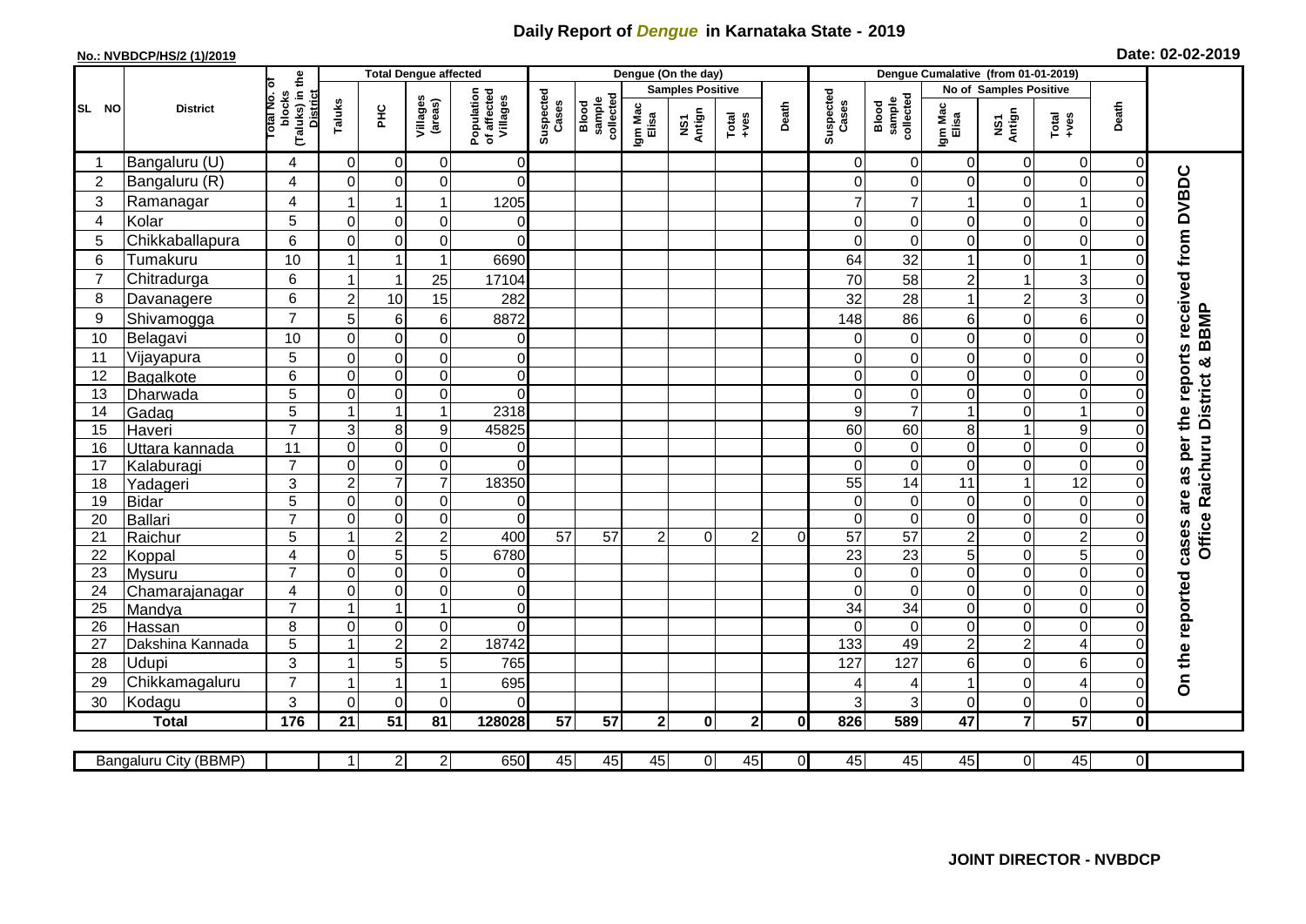## **Daily Report of** *Dengue* **in Karnataka State - 2019**

## **No.: NVBDCP/HS/2 (1)/2019 Date: 02-02-2019**

|                |                       |                |                                     | <b>Total Dengue affected</b> |                     |                                       |                    |                              |                         | Dengue (On the day) |                                                              |                |                    |                              |                        |                |                                                              |                |                                                  |
|----------------|-----------------------|----------------|-------------------------------------|------------------------------|---------------------|---------------------------------------|--------------------|------------------------------|-------------------------|---------------------|--------------------------------------------------------------|----------------|--------------------|------------------------------|------------------------|----------------|--------------------------------------------------------------|----------------|--------------------------------------------------|
|                | <b>District</b>       |                |                                     |                              |                     |                                       | Suspected<br>Cases |                              | <b>Samples Positive</b> |                     |                                                              |                |                    |                              | No of Samples Positive |                |                                                              |                |                                                  |
| SL NO          |                       | otal No. ol    | (Taluks) in the<br>blocks<br>Taluks | нc                           | Villages<br>(areas) | Population<br>of affected<br>Villages |                    | Blood<br>sample<br>collected | Igm Mac<br>Elisa        | NS1<br>Antign       | $\begin{array}{c}\n\text{Total} \\ \text{Area}\n\end{array}$ | Death          | Suspected<br>Cases | collected<br>sample<br>Blood | Igm Mac<br>Elisa       | NS1<br>Antign  | $\begin{array}{c}\n\text{Total} \\ \text{Area}\n\end{array}$ | Death          |                                                  |
|                | Bangaluru (U)         | 4              | $\Omega$                            | $\mathbf 0$                  | 0                   | 0                                     |                    |                              |                         |                     |                                                              |                | 0                  | $\Omega$                     | $\Omega$               | 0              | 0                                                            | 0              |                                                  |
| $\overline{2}$ | Bangaluru (R)         | 4              | $\Omega$                            | $\mathbf 0$                  | $\mathbf 0$         | $\Omega$                              |                    |                              |                         |                     |                                                              |                | 0                  | $\Omega$                     | $\Omega$               | 0              | $\mathbf 0$                                                  | $\Omega$       |                                                  |
| 3              | Ramanagar             | $\overline{4}$ |                                     | $\overline{1}$               | $\mathbf{1}$        | 1205                                  |                    |                              |                         |                     |                                                              |                |                    | 7                            |                        | 0              | $\mathbf{1}$                                                 | $\mathcal{C}$  | cases are as per the reports received from DVBDC |
| $\overline{4}$ | Kolar                 | 5              | $\mathbf 0$                         | $\mathbf 0$                  | $\mathbf 0$         | $\mathbf 0$                           |                    |                              |                         |                     |                                                              |                | $\Omega$           | $\mathbf 0$                  | 0                      | 0              | $\mathbf 0$                                                  | $\mathbf 0$    |                                                  |
| 5              | Chikkaballapura       | 6              | $\Omega$                            | $\mathbf 0$                  | 0                   | $\Omega$                              |                    |                              |                         |                     |                                                              |                | $\Omega$           | $\Omega$                     | 0                      | 0              | $\mathbf 0$                                                  | 0              |                                                  |
| 6              | Tumakuru              | 10             |                                     |                              | $\mathbf{1}$        | 6690                                  |                    |                              |                         |                     |                                                              |                | 64                 | 32                           |                        | 0              | $\mathbf{1}$                                                 | $\Omega$       |                                                  |
| $\overline{7}$ | Chitradurga           | 6              |                                     | $\overline{1}$               | 25                  | 17104                                 |                    |                              |                         |                     |                                                              |                | 70                 | 58                           | $\overline{c}$         | $\mathbf{1}$   | 3                                                            | $\Omega$       |                                                  |
| 8              | Davanagere            | 6              | $\overline{2}$                      | 10                           | 15                  | 282                                   |                    |                              |                         |                     |                                                              |                | 32                 | 28                           |                        | $\overline{c}$ | $\overline{3}$                                               | $\Omega$       |                                                  |
| 9              | Shivamogga            | $\overline{7}$ | 5                                   | 6                            | $\,6\,$             | 8872                                  |                    |                              |                         |                     |                                                              |                | 148                | 86                           | 6                      | 0              | 6                                                            | $\Omega$       | <b>BBMP</b>                                      |
| 10             | Belagavi              | 10             | $\mathbf 0$                         | $\mathbf 0$                  | $\mathsf 0$         | $\overline{0}$                        |                    |                              |                         |                     |                                                              |                | 0                  | $\mathbf 0$                  | 0                      | 0              | $\mathbf 0$                                                  | $\Omega$       |                                                  |
| 11             | Vijayapura            | 5              | $\mathbf 0$                         | $\mathbf 0$                  | $\mathsf 0$         | $\overline{0}$                        |                    |                              |                         |                     |                                                              |                | 0                  | $\Omega$                     | 0                      | 0              | $\mathbf 0$                                                  | $\Omega$       | ×                                                |
| 12             | Bagalkote             | 6              | $\mathbf 0$                         | $\pmb{0}$                    | $\overline{0}$      | $\overline{0}$                        |                    |                              |                         |                     |                                                              |                | $\Omega$           | $\mathbf 0$                  | $\mathbf 0$            | 0              | O                                                            | $\mathbf 0$    |                                                  |
| 13             | Dharwada              | 5              | $\Omega$                            | $\mathbf 0$                  | $\mathbf 0$         | $\Omega$                              |                    |                              |                         |                     |                                                              |                | $\Omega$           | $\Omega$                     | $\Omega$               | 0              | 0                                                            | $\Omega$       | Office Raichuru District                         |
| 14             | Gadag                 | $\overline{5}$ | $\mathbf 1$                         | $\overline{1}$               | $\mathbf{1}$        | 2318                                  |                    |                              |                         |                     |                                                              |                | 9                  | $\overline{7}$               |                        | 0              | $\mathbf{1}$                                                 | $\Omega$       |                                                  |
| 15             | Haveri                | $\overline{7}$ | 3                                   | 8                            | $\boldsymbol{9}$    | 45825                                 |                    |                              |                         |                     |                                                              |                | 60                 | 60                           | 8                      | $\mathbf{1}$   | 9                                                            | $\Omega$       |                                                  |
| 16             | Uttara kannada        | 11             | $\mathbf 0$                         | $\mathbf 0$                  | 0                   | $\Omega$                              |                    |                              |                         |                     |                                                              |                | $\Omega$           | $\Omega$                     | $\Omega$               | 0              | $\overline{0}$                                               | $\Omega$       |                                                  |
| 17             | Kalaburagi            | $\overline{7}$ | $\Omega$                            | $\pmb{0}$                    | $\mathbf 0$         | $\Omega$                              |                    |                              |                         |                     |                                                              |                | $\Omega$           | $\Omega$                     | $\Omega$               | 0              | $\overline{0}$                                               | $\Omega$       |                                                  |
| 18             | Yadageri              | 3              | $\overline{c}$                      | $\overline{7}$               | $\overline{7}$      | 18350                                 |                    |                              |                         |                     |                                                              |                | 55                 | 14                           | 11                     | $\mathbf{1}$   | $\overline{12}$                                              | $\Omega$       |                                                  |
| 19             | <b>Bidar</b>          | 5              | $\mathbf 0$                         | $\pmb{0}$                    | $\pmb{0}$           | $\overline{0}$                        |                    |                              |                         |                     |                                                              |                | $\Omega$           | $\Omega$                     | 0                      | 0              | $\mathbf 0$                                                  | $\mathbf 0$    |                                                  |
| 20             | Ballari               | $\overline{7}$ | $\Omega$                            | $\mathbf 0$                  | $\mathbf 0$         | $\mathbf 0$                           |                    |                              |                         |                     |                                                              |                | $\Omega$           | $\Omega$                     | 0                      | 0              | O                                                            | $\Omega$       |                                                  |
| 21             | Raichur               | 5              |                                     | $\overline{c}$               | $\overline{2}$      | 400                                   | $\overline{57}$    | 57                           | 2                       | 0                   | $\overline{2}$                                               | 0              | $\overline{57}$    | $\overline{57}$              | $\overline{c}$         | 0              | $\overline{2}$                                               | $\mathbf 0$    |                                                  |
| 22             | Koppal                | 4              | $\Omega$                            | 5                            | $\overline{5}$      | 6780                                  |                    |                              |                         |                     |                                                              |                | $\overline{23}$    | $\overline{23}$              | 5                      | $\mathbf 0$    | $\overline{5}$                                               | $\overline{0}$ |                                                  |
| 23             | Mysuru                | $\overline{7}$ | $\mathbf 0$                         | $\mathbf 0$                  | $\overline{0}$      | $\overline{0}$                        |                    |                              |                         |                     |                                                              |                | $\mathbf 0$        | $\mathbf 0$                  | 0                      | 0              | $\overline{0}$                                               | $\mathbf 0$    |                                                  |
| 24             | Chamarajanagar        | 4              | $\mathbf 0$                         | $\pmb{0}$                    | $\overline{0}$      | $\overline{0}$                        |                    |                              |                         |                     |                                                              |                | $\Omega$           | $\overline{0}$               | $\mathbf 0$            | 0              | $\overline{0}$                                               | $\mathbf 0$    |                                                  |
| 25             | Mandya                | $\overline{7}$ |                                     | $\overline{1}$               | $\overline{1}$      | $\overline{0}$                        |                    |                              |                         |                     |                                                              |                | $\overline{34}$    | 34                           | 0                      | 0              | $\overline{0}$                                               | $\mathbf 0$    |                                                  |
| 26             | Hassan                | 8              | $\Omega$<br>$\overline{\mathbf{A}}$ | $\mathbf 0$                  | $\pmb{0}$           | $\Omega$                              |                    |                              |                         |                     |                                                              |                | $\Omega$           | $\Omega$                     | $\Omega$               | 0              | $\overline{0}$                                               | $\Omega$       |                                                  |
| 27             | Dakshina Kannada      | 5              |                                     | $\overline{2}$               | $\overline{2}$      | 18742                                 |                    |                              |                         |                     |                                                              |                | 133                | 49                           | $\overline{2}$         | $\overline{2}$ | $\overline{4}$                                               | $\overline{0}$ |                                                  |
| 28             | Udupi                 | 3              |                                     | 5                            | 5                   | 765                                   |                    |                              |                         |                     |                                                              |                | 127                | 127                          | 6                      | 0              | 6                                                            | $\Omega$       | On the reported                                  |
| 29             | Chikkamagaluru        | $\overline{7}$ | 1                                   | $\overline{\mathbf{1}}$      | $\overline{1}$      | 695                                   |                    |                              |                         |                     |                                                              |                |                    |                              |                        | 0              | $\overline{\mathbf{4}}$                                      | $\Omega$       |                                                  |
| 30             | Kodagu                | 3              | $\Omega$                            | $\mathbf 0$                  | $\mathbf 0$         | $\Omega$                              |                    |                              |                         |                     |                                                              |                | 3                  | 3                            | 0                      | 0              | $\mathbf 0$                                                  | $\Omega$       |                                                  |
|                | <b>Total</b>          | 176            | 21                                  | 51                           | 81                  | 128028                                | 57                 | 57                           | 2 <sub>l</sub>          | $\mathbf{0}$        | 2 <sup>1</sup>                                               | 0              | 826                | 589                          | 47                     | $\overline{7}$ | 57                                                           | $\mathbf 0$    |                                                  |
|                | Bangaluru City (BBMP) |                | $\mathbf{1}$                        | $\overline{c}$               | $\mathbf{2}$        | 650                                   | 45                 | 45                           | 45                      | $\overline{0}$      | 45                                                           | $\overline{0}$ | 45                 | 45                           | 45                     | $\overline{0}$ | 45                                                           | $\overline{0}$ |                                                  |